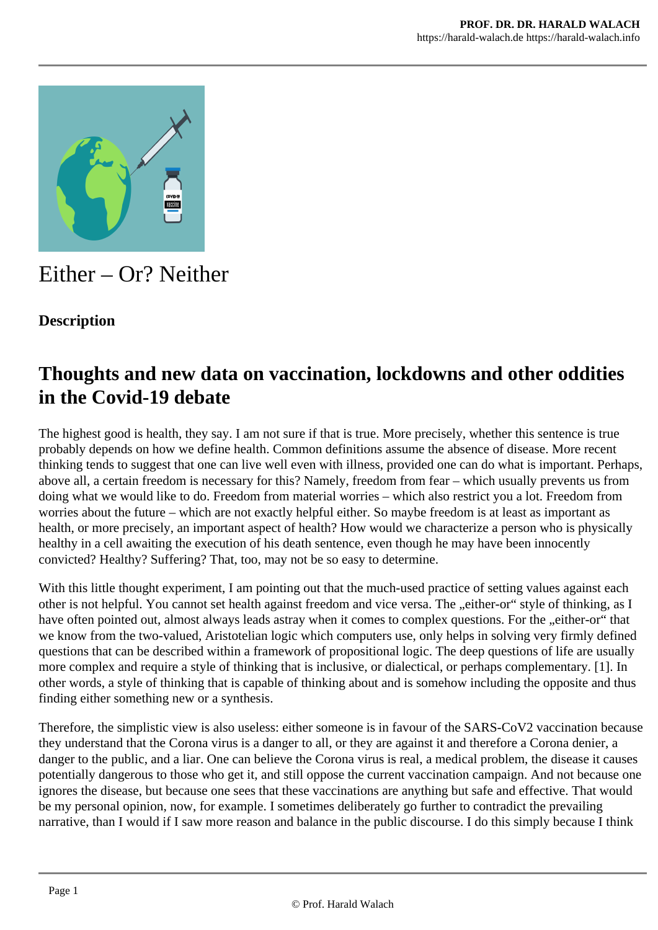

# Either – Or? Neither

#### **Description**

### **Thoughts and new data on vaccination, lockdowns and other oddities in the Covid-19 debate**

The highest good is health, they say. I am not sure if that is true. More precisely, whether this sentence is true probably depends on how we define health. Common definitions assume the absence of disease. More recent thinking tends to suggest that one can live well even with illness, provided one can do what is important. Perhaps, above all, a certain freedom is necessary for this? Namely, freedom from fear – which usually prevents us from doing what we would like to do. Freedom from material worries – which also restrict you a lot. Freedom from worries about the future – which are not exactly helpful either. So maybe freedom is at least as important as health, or more precisely, an important aspect of health? How would we characterize a person who is physically healthy in a cell awaiting the execution of his death sentence, even though he may have been innocently convicted? Healthy? Suffering? That, too, may not be so easy to determine.

With this little thought experiment, I am pointing out that the much-used practice of setting values against each other is not helpful. You cannot set health against freedom and vice versa. The "either-or" style of thinking, as I have often pointed out, almost always leads astray when it comes to complex questions. For the "either-or" that we know from the two-valued, Aristotelian logic which computers use, only helps in solving very firmly defined questions that can be described within a framework of propositional logic. The deep questions of life are usually more complex and require a style of thinking that is inclusive, or dialectical, or perhaps complementary. [1]. In other words, a style of thinking that is capable of thinking about and is somehow including the opposite and thus finding either something new or a synthesis.

Therefore, the simplistic view is also useless: either someone is in favour of the SARS-CoV2 vaccination because they understand that the Corona virus is a danger to all, or they are against it and therefore a Corona denier, a danger to the public, and a liar. One can believe the Corona virus is real, a medical problem, the disease it causes potentially dangerous to those who get it, and still oppose the current vaccination campaign. And not because one ignores the disease, but because one sees that these vaccinations are anything but safe and effective. That would be my personal opinion, now, for example. I sometimes deliberately go further to contradict the prevailing narrative, than I would if I saw more reason and balance in the public discourse. I do this simply because I think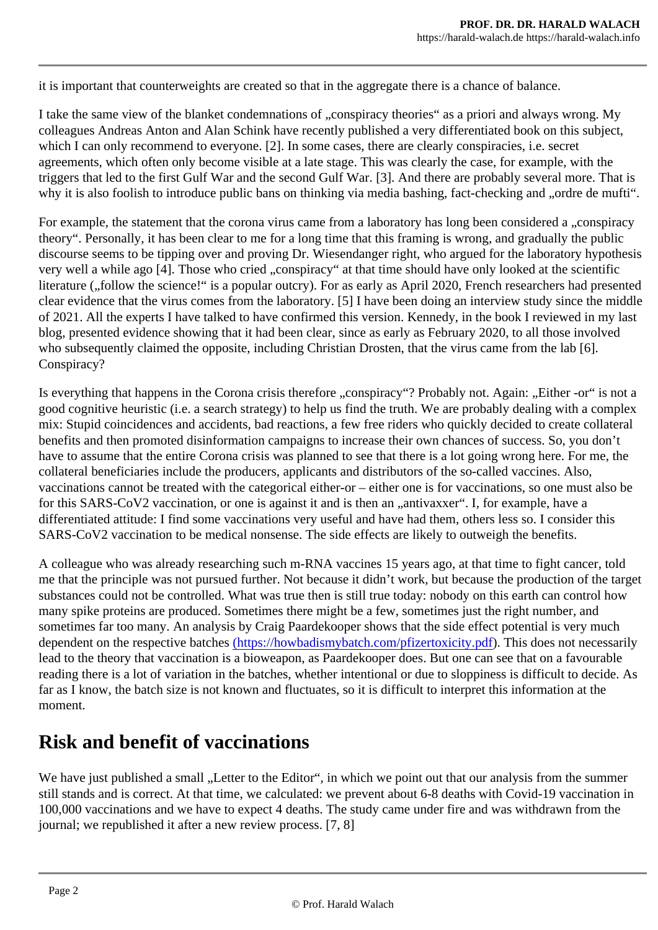it is important that counterweights are created so that in the aggregate there is a chance of balance.

I take the same view of the blanket condemnations of "conspiracy theories" as a priori and always wrong. colleagues Andreas Anton and Alan Schink have recently published a very differentiated book on this sub which I can only recommend to everyone. [2]. In some cases, there are clearly conspiracies, i.e. secret agreements, which often only become visible at a late stage. This was clearly the case, for example, with triggers that led to the first Gulf War and the second Gulf War. [3]. And there are probably several more. T why it is also foolish to introduce public bans on thinking via media bashing, fact-checking and "ordre de n

For example, the statement that the corona virus came from a laboratory has long been considered a "cor theory". Personally, it has been clear to me for a long time that this framing is wrong, and gradually the pu discourse seems to be tipping over and proving Dr. Wiesendanger right, who argued for the laboratory hypothesis very well a while ago [4]. Those who cried "conspiracy" at that time should have only looked at the scientif literature ("follow the science!" is a popular outcry). For as early as April 2020, French researchers had pre clear evidence that the virus comes from the laboratory. [5] I have been doing an interview study since the of 2021. All the experts I have talked to have confirmed this version. Kennedy, in the book I reviewed in m blog, presented evidence showing that it had been clear, since as early as February 2020, to all those inve who subsequently claimed the opposite, including Christian Drosten, that the virus came from the lab [6]. Conspiracy?

Is everything that happens in the Corona crisis therefore "conspiracy"? Probably not. Again: "Either -or" is good cognitive heuristic (i.e. a search strategy) to help us find the truth. We are probably dealing with a co mix: Stupid coincidences and accidents, bad reactions, a few free riders who quickly decided to create col benefits and then promoted disinformation campaigns to increase their own chances of success. So, you have to assume that the entire Corona crisis was planned to see that there is a lot going wrong here. For a collateral beneficiaries include the producers, applicants and distributors of the so-called vaccines. Also, vaccinations cannot be treated with the categorical either-or – either one is for vaccinations, so one must a for this SARS-CoV2 vaccination, or one is against it and is then an "antivaxxer". I, for example, have a differentiated attitude: I find some vaccinations very useful and have had them, others less so. I consider t SARS-CoV2 vaccination to be medical nonsense. The side effects are likely to outweigh the benefits.

A colleague who was already researching such m-RNA vaccines 15 years ago, at that time to fight cancer me that the principle was not pursued further. Not because it didn't work, but because the production of the substances could not be controlled. What was true then is still true today: nobody on this earth can contro many spike proteins are produced. Sometimes there might be a few, sometimes just the right number, and sometimes far too many. An analysis by Craig Paardekooper shows that the side effect potential is very m dependent on the respective batches s://howbadismybatch.com/pfizertoxicity. pdf his does not necessarily lead to the theory that vaccination is a bioweapon, as Paardekooper does. But one can see that on a favo reading there is a lot of variation in the batches, whether intentional or due to sloppiness is difficult to decifar as I know, the batch size is not known and fluctuates, so it is difficult to interpret this information at the moment.

## Risk and benefit of vaccinations

We have just published a small "Letter to the Editor", in which we point out that our analysis from the suming still stands and is correct. At that time, we calculated: we prevent about 6-8 deaths with Covid-19 vaccinat 100,000 vaccinations and we have to expect 4 deaths. The study came under fire and was withdrawn fron journal; we republished it after a new review process. [7, 8]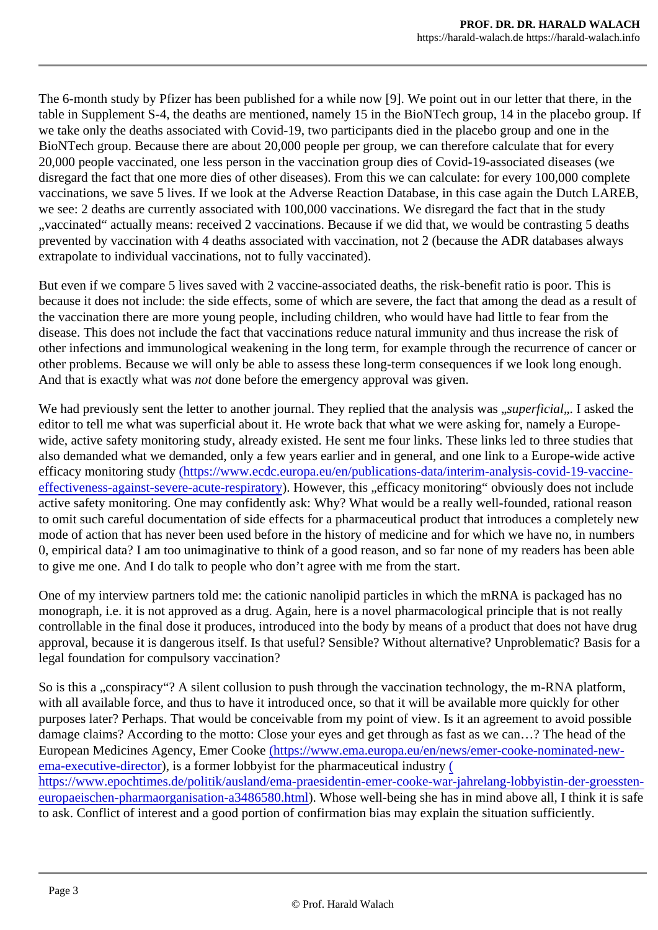The 6-month study by Pfizer has been published for a while now [9]. We point out in our letter that there, in table in Supplement S-4, the deaths are mentioned, namely 15 in the BioNTech group, 14 in the placebo g we take only the deaths associated with Covid-19, two participants died in the placebo group and one in the BioNTech group. Because there are about 20,000 people per group, we can therefore calculate that for ev 20,000 people vaccinated, one less person in the vaccination group dies of Covid-19-associated diseases disregard the fact that one more dies of other diseases). From this we can calculate: for every 100,000 co vaccinations, we save 5 lives. If we look at the Adverse Reaction Database, in this case again the Dutch L we see: 2 deaths are currently associated with 100,000 vaccinations. We disregard the fact that in the study "vaccinated" actually means: received 2 vaccinations. Because if we did that, we would be contrasting 5 d prevented by vaccination with 4 deaths associated with vaccination, not 2 (because the ADR databases a extrapolate to individual vaccinations, not to fully vaccinated).

But even if we compare 5 lives saved with 2 vaccine-associated deaths, the risk-benefit ratio is poor. This because it does not include: the side effects, some of which are severe, the fact that among the dead as a the vaccination there are more young people, including children, who would have had little to fear from the disease. This does not include the fact that vaccinations reduce natural immunity and thus increase the ris other infections and immunological weakening in the long term, for example through the recurrence of can other problems. Because we will only be able to assess these long-term consequences if we look long eno And that is exactly what waxet done before the emergency approval was given.

We had previously sent the letter to another journal. They replied that the analysis perficial. I asked the editor to tell me what was superficial about it. He wrote back that what we were asking for, namely a Euro wide, active safety monitoring study, already existed. He sent me four links. These links led to three studie also demanded what we demanded, only a few years earlier and in general, and one link to a Europe-wide efficacy monitoring studyhttps://www.ecdc.europa.eu/en/publications-data/interim-analysis-covid-19-vaccine [effectiveness-against-severe-acute-respira](https://www.ecdc.europa.eu/en/publications-data/interim-analysis-covid-19-vaccine-effectiveness-against-severe-acute-respiratory)tory over, this "efficacy monitoring" obviously does not include active safety monitoring. One may confidently ask: Why? What would be a really well-founded, rational reason to omit such careful documentation of side effects for a pharmaceutical product that introduces a complete mode of action that has never been used before in the history of medicine and for which we have no, in number 0, empirical data? I am too unimaginative to think of a good reason, and so far none of my readers has be to give me one. And I do talk to people who don't agree with me from the start.

One of my interview partners told me: the cationic nanolipid particles in which the mRNA is packaged has monograph, i.e. it is not approved as a drug. Again, here is a novel pharmacological principle that is not re controllable in the final dose it produces, introduced into the body by means of a product that does not have approval, because it is dangerous itself. Is that useful? Sensible? Without alternative? Unproblematic? Ba legal foundation for compulsory vaccination?

So is this a "conspiracy"? A silent collusion to push through the vaccination technology, the m-RNA platform with all available force, and thus to have it introduced once, so that it will be available more quickly for other purposes later? Perhaps. That would be conceivable from my point of view. Is it an agreement to avoid post damage claims? According to the motto: Close your eyes and get through as fast as we can...? The head European Medicines Agency, Emer Cooktops://www.ema.europa.eu/en/news/emer-cooke-nominated-new [ema-executive-direct](https://www.ema.europa.eu/en/news/emer-cooke-nominated-new-ema-executive-director)ori[s](https://www.epochtimes.de/politik/ausland/ema-praesidentin-emer-cooke-war-jahrelang-lobbyistin-der-groessten-europaeischen-pharmaorganisation-a3486580.html) a former lobbyist for the pharmaceutical industry [https://www.epochtimes.de/politik/ausland/ema-praesidentin-emer-cooke-war-jahrelang-lobbyistin-der-g](https://www.epochtimes.de/politik/ausland/ema-praesidentin-emer-cooke-war-jahrelang-lobbyistin-der-groessten-europaeischen-pharmaorganisation-a3486580.html)ro [europaeischen-pharmaorganisation-a3486580](https://www.epochtimes.de/politik/ausland/ema-praesidentin-emer-cooke-war-jahrelang-lobbyistin-der-groessten-europaeischen-pharmaorganisation-a3486580.html).html ose well-being she has in mind above all, I think it is sa to ask. Conflict of interest and a good portion of confirmation bias may explain the situation sufficiently.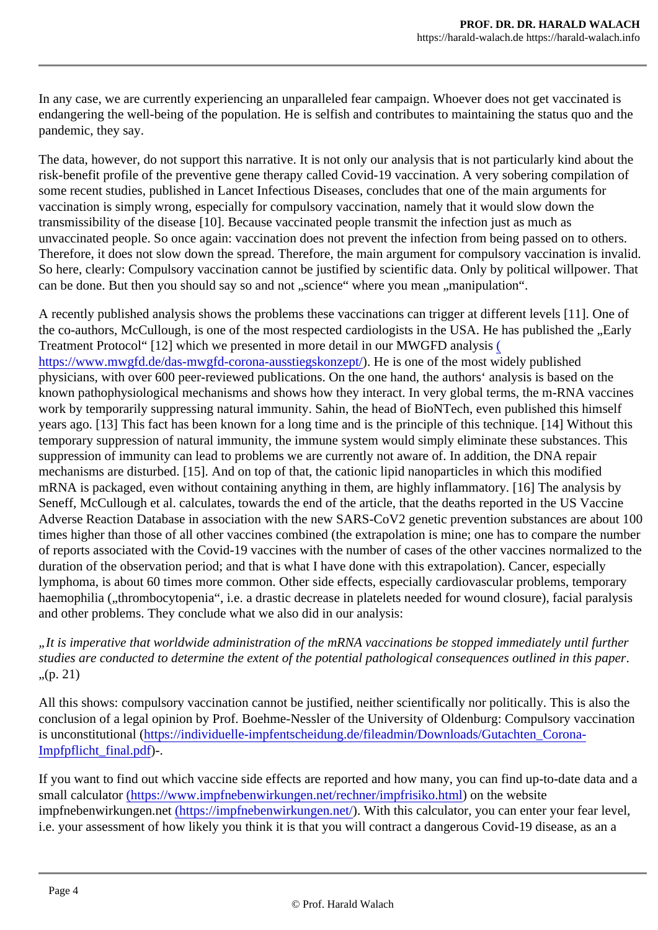In any case, we are currently experiencing an unparalleled fear campaign. Whoever does not get vaccinat endangering the well-being of the population. He is selfish and contributes to maintaining the status quo a pandemic, they say.

The data, however, do not support this narrative. It is not only our analysis that is not particularly kind abo risk-benefit profile of the preventive gene therapy called Covid-19 vaccination. A very sobering compilation some recent studies, published in Lancet Infectious Diseases, concludes that one of the main arguments for vaccination is simply wrong, especially for compulsory vaccination, namely that it would slow down the transmissibility of the disease [10]. Because vaccinated people transmit the infection just as much as unvaccinated people. So once again: vaccination does not prevent the infection from being passed on to other Therefore, it does not slow down the spread. Therefore, the main argument for compulsory vaccination is So here, clearly: Compulsory vaccination cannot be justified by scientific data. Only by political willpower. can be done. But then you should say so and not "science" where you mean "manipulation".

A recently published analysis shows the problems these vaccinations can trigger at different levels [11]. O the co-authors, McCullough, is one of the most respected cardiologists in the USA. He has published the, Treatment Protocol" [12] which we presented in more detail in our MWGFD a[na](https://www.mwgfd.de/das-mwgfd-corona-ausstiegskonzept/)lysis [https://www.mwgfd.de/das-mwgfd-corona-ausstiegskon](https://www.mwgfd.de/das-mwgfd-corona-ausstiegskonzept/)**zept/** is one of the most widely published physicians, with over 600 peer-reviewed publications. On the one hand, the authors' analysis is based on known pathophysiological mechanisms and shows how they interact. In very global terms, the m-RNA vact work by temporarily suppressing natural immunity. Sahin, the head of BioNTech, even published this hims years ago. [13] This fact has been known for a long time and is the principle of this technique. [14] Without temporary suppression of natural immunity, the immune system would simply eliminate these substances. suppression of immunity can lead to problems we are currently not aware of. In addition, the DNA repair mechanisms are disturbed. [15]. And on top of that, the cationic lipid nanoparticles in which this modified mRNA is packaged, even without containing anything in them, are highly inflammatory. [16] The analysis l Seneff, McCullough et al. calculates, towards the end of the article, that the deaths reported in the US Vac Adverse Reaction Database in association with the new SARS-CoV2 genetic prevention substances are a times higher than those of all other vaccines combined (the extrapolation is mine; one has to compare the of reports associated with the Covid-19 vaccines with the number of cases of the other vaccines normalized to the duration of the observation period; and that is what I have done with this extrapolation). Cancer, especially lymphoma, is about 60 times more common. Other side effects, especially cardiovascular problems, temp haemophilia ("thrombocytopenia", i.e. a drastic decrease in platelets needed for wound closure), facial paraly and other problems. They conclude what we also did in our analysis:

"It is imperative that worldwide administration of the mRNA vaccinations be stopped immediately until furth studies are conducted to determine the extent of the potential pathological consequences outlined in this part  $n(p. 21)$ 

All this shows: compulsory vaccination cannot be justified, neither scientifically nor politically. This is also t conclusion of a legal opinion by Prof. Boehme-Nessler of the University of Oldenburg: Compulsory vaccination is unconstitutional (ttps://individuelle-impfentscheidung.de/fileadmin/Downloads/Gutachten\_Corona-[Impfpflicht\\_final.pdf\)](https://individuelle-impfentscheidung.de/fileadmin/Downloads/Gutachten_Corona-Impfpflicht_final.pdf)-.

If you want to find out which vaccine side effects are reported and how many, you can find up-to-date data small calculato(https://www.impfnebenwirkungen.net/rechner/impfrisiko.html the website impfn[e](/is/htdocs/wp10988807_QD19BJMZ2F/www/de/()benwirkungen.net[https://impfnebenwirkungen.n](https://impfnebenwirkungen.net/)et/ With this calculator, you can enter your fear level, i.e. your assessment of how likely you think it is that you will contract a dangerous Covid-19 disease, as a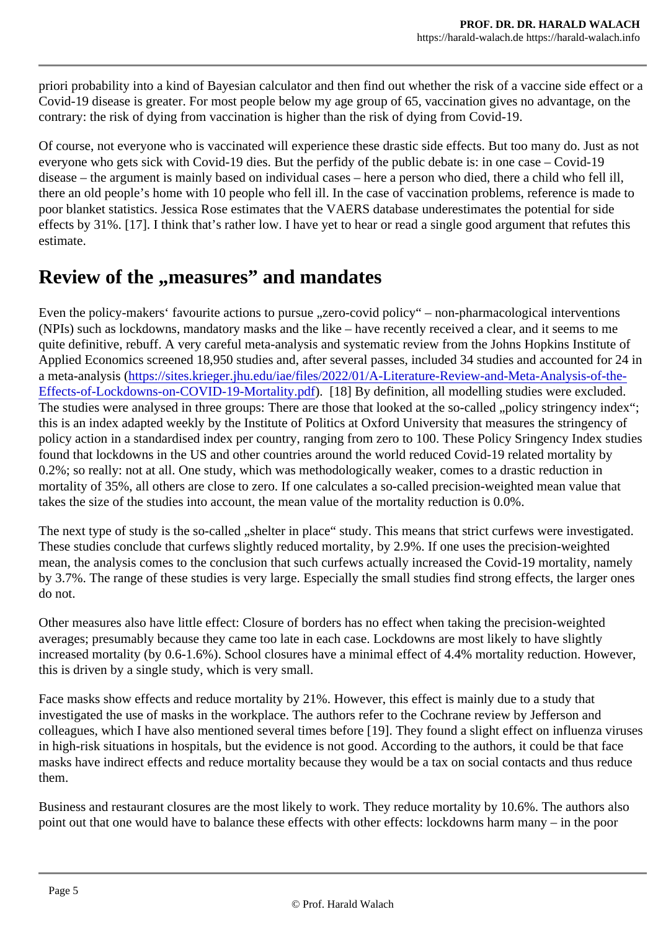priori probability into a kind of Bayesian calculator and then find out whether the risk of a vaccine side effe Covid-19 disease is greater. For most people below my age group of 65, vaccination gives no advantage, contrary: the risk of dying from vaccination is higher than the risk of dying from Covid-19.

Of course, not everyone who is vaccinated will experience these drastic side effects. But too many do. Just everyone who gets sick with Covid-19 dies. But the perfidy of the public debate is: in one case – Covid-19 disease – the argument is mainly based on individual cases – here a person who died, there a child who f there an old people's home with 10 people who fell ill. In the case of vaccination problems, reference is ma poor blanket statistics. Jessica Rose estimates that the VAERS database underestimates the potential for effects by 31%. [17]. I think that's rather low. I have yet to hear or read a single good argument that refute estimate.

# Review of the "measures" and mandates

Even the policy-makers' favourite actions to pursue "zero-covid policy" – non-pharmacological interventior (NPIs) such as lockdowns, mandatory masks and the like  $-$  have recently received a clear, and it seems to quite definitive, rebuff. A very careful meta-analysis and systematic review from the Johns Hopkins Institute Applied Economics screened 18,950 studies and, after several passes, included 34 studies and accounted a meta-analysish(tps://sites.krieger.jhu.edu/iae/files/2022/01/A-Literature-Review-and-Meta-Analysis-of-the [Effects-of-Lockdowns-on-COVID-19-Mortality.p](https://sites.krieger.jhu.edu/iae/files/2022/01/A-Literature-Review-and-Meta-Analysis-of-the-Effects-of-Lockdowns-on-COVID-19-Mortality.pdf)df [18] By definition, all modelling studies were excluded. The studies were analysed in three groups: There are those that looked at the so-called "policy stringency this is an index adapted weekly by the Institute of Politics at Oxford University that measures the stringend policy action in a standardised index per country, ranging from zero to 100. These Policy Sringency Index found that lockdowns in the US and other countries around the world reduced Covid-19 related mortality b 0.2%; so really: not at all. One study, which was methodologically weaker, comes to a drastic reduction in mortality of 35%, all others are close to zero. If one calculates a so-called precision-weighted mean value takes the size of the studies into account, the mean value of the mortality reduction is 0.0%.

The next type of study is the so-called "shelter in place" study. This means that strict curfews were investig These studies conclude that curfews slightly reduced mortality, by 2.9%. If one uses the precision-weighte mean, the analysis comes to the conclusion that such curfews actually increased the Covid-19 mortality, namely by 3.7%. The range of these studies is very large. Especially the small studies find strong effects, the large do not.

Other measures also have little effect: Closure of borders has no effect when taking the precision-weighte averages; presumably because they came too late in each case. Lockdowns are most likely to have slight increased mortality (by 0.6-1.6%). School closures have a minimal effect of 4.4% mortality reduction. How this is driven by a single study, which is very small.

Face masks show effects and reduce mortality by 21%. However, this effect is mainly due to a study that investigated the use of masks in the workplace. The authors refer to the Cochrane review by Jefferson an colleagues, which I have also mentioned several times before [19]. They found a slight effect on influenza in high-risk situations in hospitals, but the evidence is not good. According to the authors, it could be that f masks have indirect effects and reduce mortality because they would be a tax on social contacts and thus them.

Business and restaurant closures are the most likely to work. They reduce mortality by 10.6%. The author point out that one would have to balance these effects with other effects: lockdowns harm many – in the p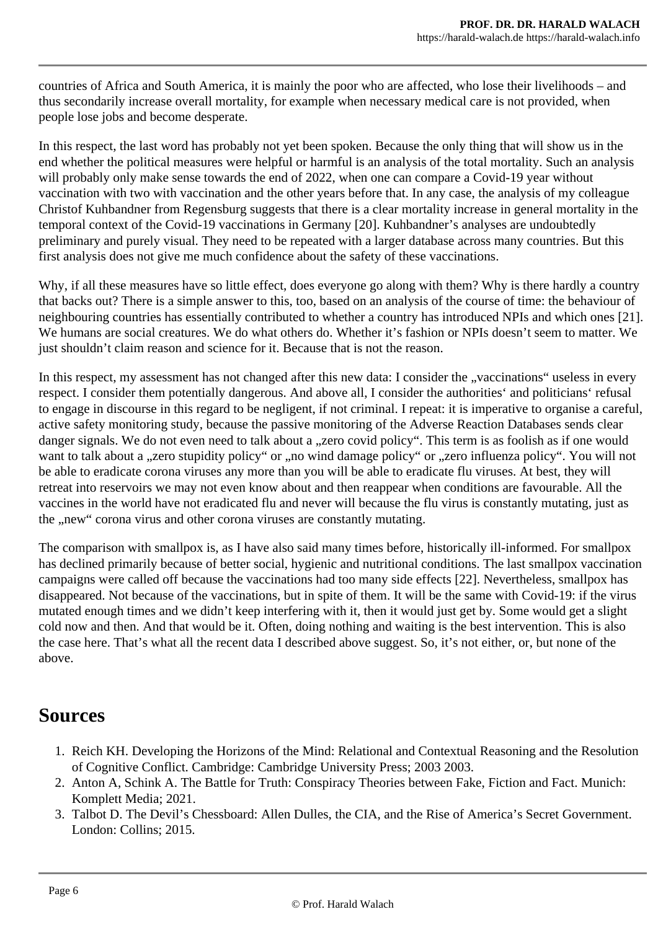countries of Africa and South America, it is mainly the poor who are affected, who lose their livelihoods – and thus secondarily increase overall mortality, for example when necessary medical care is not provided, when people lose jobs and become desperate.

In this respect, the last word has probably not yet been spoken. Because the only thing that will show us in the end whether the political measures were helpful or harmful is an analysis of the total mortality. Such an analysis will probably only make sense towards the end of 2022, when one can compare a Covid-19 year without vaccination with two with vaccination and the other years before that. In any case, the analysis of my colleague Christof Kuhbandner from Regensburg suggests that there is a clear mortality increase in general mortality in the temporal context of the Covid-19 vaccinations in Germany [20]. Kuhbandner's analyses are undoubtedly preliminary and purely visual. They need to be repeated with a larger database across many countries. But this first analysis does not give me much confidence about the safety of these vaccinations.

Why, if all these measures have so little effect, does everyone go along with them? Why is there hardly a country that backs out? There is a simple answer to this, too, based on an analysis of the course of time: the behaviour of neighbouring countries has essentially contributed to whether a country has introduced NPIs and which ones [21]. We humans are social creatures. We do what others do. Whether it's fashion or NPIs doesn't seem to matter. We just shouldn't claim reason and science for it. Because that is not the reason.

In this respect, my assessment has not changed after this new data: I consider the "vaccinations" useless in every respect. I consider them potentially dangerous. And above all, I consider the authorities' and politicians' refusal to engage in discourse in this regard to be negligent, if not criminal. I repeat: it is imperative to organise a careful, active safety monitoring study, because the passive monitoring of the Adverse Reaction Databases sends clear danger signals. We do not even need to talk about a "zero covid policy". This term is as foolish as if one would want to talk about a "zero stupidity policy" or "no wind damage policy" or "zero influenza policy". You will not be able to eradicate corona viruses any more than you will be able to eradicate flu viruses. At best, they will retreat into reservoirs we may not even know about and then reappear when conditions are favourable. All the vaccines in the world have not eradicated flu and never will because the flu virus is constantly mutating, just as the "new" corona virus and other corona viruses are constantly mutating.

The comparison with smallpox is, as I have also said many times before, historically ill-informed. For smallpox has declined primarily because of better social, hygienic and nutritional conditions. The last smallpox vaccination campaigns were called off because the vaccinations had too many side effects [22]. Nevertheless, smallpox has disappeared. Not because of the vaccinations, but in spite of them. It will be the same with Covid-19: if the virus mutated enough times and we didn't keep interfering with it, then it would just get by. Some would get a slight cold now and then. And that would be it. Often, doing nothing and waiting is the best intervention. This is also the case here. That's what all the recent data I described above suggest. So, it's not either, or, but none of the above.

#### **Sources**

- 1. Reich KH. Developing the Horizons of the Mind: Relational and Contextual Reasoning and the Resolution of Cognitive Conflict. Cambridge: Cambridge University Press; 2003 2003.
- 2. Anton A, Schink A. The Battle for Truth: Conspiracy Theories between Fake, Fiction and Fact. Munich: Komplett Media; 2021.
- 3. Talbot D. The Devil's Chessboard: Allen Dulles, the CIA, and the Rise of America's Secret Government. London: Collins; 2015.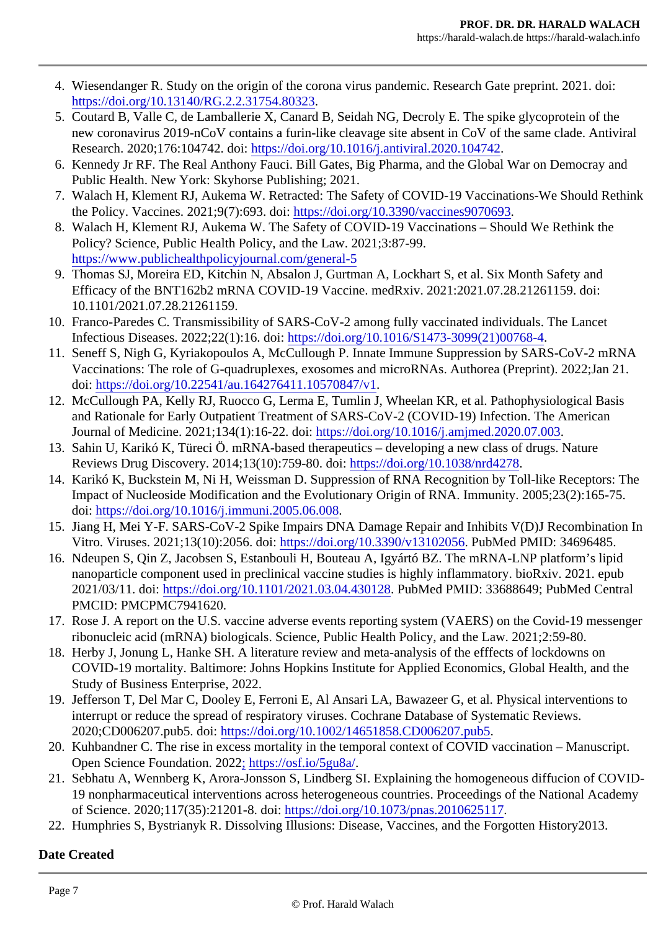- 4. Wiesendanger R. Study on the origin of the corona virus pandemic. Research Gate preprint. 2021. d [https://doi.org/10.13140/RG.2.2.31754.80](https://doi.org/10.13140/RG.2.2.31754.80323)323 .
- 5. Coutard B, Valle C, de Lamballerie X, Canard B, Seidah NG, Decroly E. The spike glycoprotein of th new coronavirus 2019-nCoV contains a furin-like cleavage site absent in CoV of the same clade. An Research. 2020;176:104742. dottps://doi.org/10.1016/j.antiviral.2020.104742
- 6. Kennedy Jr RF. The Real Anthony Fauci. Bill Gates, Big Pharma, and the Global War on Democray Public Health. New York: Skyhorse Publishing; 2021.
- 7. Walach H, Klement RJ, Aukema W. Retracted: The Safety of COVID-19 Vaccinations-We Should Re the Policy. Vaccines. 2021;9(7):693. doitps://doi.org/10.3390/vaccines9070693
- 8. Walach H, Klement RJ, Aukema W. The Safety of COVID-19 Vaccinations Should We Rethink the Policy? Science, Public Health Policy, and the Law. 2021;3:87-99. [https://www.publichealthpolicyjournal.com/genera](https://www.publichealthpolicyjournal.com/general-5)l-5
- 9. Thomas SJ, Moreira ED, Kitchin N, Absalon J, Gurtman A, Lockhart S, et al. Six Month Safety and Efficacy of the BNT162b2 mRNA COVID-19 Vaccine. medRxiv. 2021:2021.07.28.21261159. doi: 10.1101/2021.07.28.21261159.
- 10. Franco-Paredes C. Transmissibility of SARS-CoV-2 among fully vaccinated individuals. The Lancet Infectious Diseases. 2022;22(1):16. ddtps://doi.org/10.1016/S1473-3099(21)00768-4
- 11. Seneff S, Nigh G, Kyriakopoulos A, McCullough P. Innate Immune Suppression by SARS-CoV-2 mF Vaccinations: The role of G-quadruplexes, exosomes and microRNAs. Authorea (Preprint). 2022;Jan doi: [https://doi.org/10.22541/au.164276411.1057084](https://doi.org/10.22541/au.164276411.10570847/v1)7/v1 .
- 12. McCullough PA, Kelly RJ, Ruocco G, Lerma E, Tumlin J, Wheelan KR, et al. Pathophysiological Bas and Rationale for Early Outpatient Treatment of SARS-CoV-2 (COVID-19) Infection. The American Journal of Medicine. 2021;134(1):16-22. doitps://doi.org/10.1016/j.amjmed.2020.07.003
- 13. Sahin U, Karikó K, Türeci Ö. mRNA-based therapeutics developing a new class of drugs. Nature Reviews Drug Discovery[.](https://doi.org/10.1038/nrd4278) 2014;13(10):759-80. dotips://doi.org/10.1038/nrd4278
- 14. Karikó K, Buckstein M, Ni H, Weissman D. Suppression of RNA Recognition by Toll-like Receptors: The Impact of Nucleoside Modification and the Evolutionary Origin of RNA. Immunity. 2005;23(2):165-75. doi: [https://doi.org/10.1016/j.immuni.2005.06.0](https://doi.org/10.1016/j.immuni.2005.06.008)08 .
- 15. Jiang H, Mei Y-F. SARS-CoV-2 Spike Impairs DNA Damage Repair and Inhibits V(D)J Recombination Vitro[.](https://doi.org/10.3390/v13102056) Viruses. 2021;13(10):2056. doittps://doi.org/10.3390/v1310205BubMed PMID: 34696485.
- 16. Ndeupen S, Qin Z, Jacobsen S, Estanbouli H, Bouteau A, Igyártó BZ. The mRNA-LNP platform's lip nanoparticle component used in preclinical vaccine studies is highly inflammatory. bioRxiv. 2021. ep 2021/03/11. doihttps://doi.org/10.1101/2021.03.04.430128 bMed PMID: 33688649; PubMed Central PMCID: PMCPMC7941620.
- 17. Rose J. A report on the U.S. vaccine adverse events reporting system (VAERS) on the Covid-19 me ribonucleic acid (mRNA) biologicals. Science, Public Health Policy, and the Law. 2021;2:59-80.
- 18. Herby J, Jonung L, Hanke SH. A literature review and meta-analysis of the efffects of lockdowns on COVID-19 mortality. Baltimore: Johns Hopkins Institute for Applied Economics, Global Health, and th Study of Business Enterprise, 2022.
- 19. Jefferson T, Del Mar C, Dooley E, Ferroni E, Al Ansari LA, Bawazeer G, et al. Physical interventions interrupt or reduce the spread of respiratory viruses. Cochrane Database of Systematic Reviews. 2020;CD006207.pub5. ddittps://doi.org/10.1002/14651858.CD006207.pub5
- 20. Kuhbandner C. The rise in excess mortality in the temporal context of COVID vaccination Manuscr Open Science Foundation. 2[0](https://osf.io/5gu8a/)22tps://osf.io/5gu8a/
- 21. Sebhatu A, Wennberg K, Arora-Jonsson S, Lindberg SI. Explaining the homogeneous diffucion of C 19 nonpharmaceutical interventions across heterogeneous countries. Proceedings of the National A of Science. 2020;117(35):21201-8. doitps://doi.org/10.1073/pnas.2010625117
- 22. Humphries S, Bystrianyk R. Dissolving Illusions: Disease, Vaccines, and the Forgotten History2013.

Date Created